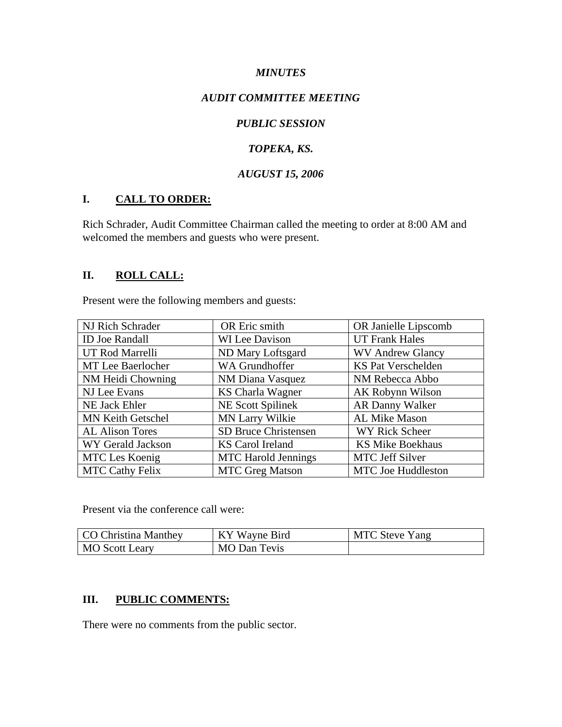#### *MINUTES*

### *AUDIT COMMITTEE MEETING*

## *PUBLIC SESSION*

## *TOPEKA, KS.*

## *AUGUST 15, 2006*

## **I. CALL TO ORDER:**

Rich Schrader, Audit Committee Chairman called the meeting to order at 8:00 AM and welcomed the members and guests who were present.

## **II. ROLL CALL:**

Present were the following members and guests:

| NJ Rich Schrader       | OR Eric smith               | OR Janielle Lipscomb      |
|------------------------|-----------------------------|---------------------------|
| <b>ID Joe Randall</b>  | <b>WI</b> Lee Davison       | <b>UT Frank Hales</b>     |
| UT Rod Marrelli        | ND Mary Loftsgard           | <b>WV Andrew Glancy</b>   |
| MT Lee Baerlocher      | WA Grundhoffer              | <b>KS Pat Verschelden</b> |
| NM Heidi Chowning      | NM Diana Vasquez            | NM Rebecca Abbo           |
| NJ Lee Evans           | <b>KS Charla Wagner</b>     | AK Robynn Wilson          |
| <b>NE Jack Ehler</b>   | <b>NE Scott Spilinek</b>    | <b>AR Danny Walker</b>    |
| MN Keith Getschel      | MN Larry Wilkie             | AL Mike Mason             |
| <b>AL Alison Tores</b> | <b>SD Bruce Christensen</b> | WY Rick Scheer            |
| WY Gerald Jackson      | KS Carol Ireland            | <b>KS Mike Boekhaus</b>   |
| MTC Les Koenig         | <b>MTC</b> Harold Jennings  | <b>MTC Jeff Silver</b>    |
| <b>MTC Cathy Felix</b> | <b>MTC Greg Matson</b>      | <b>MTC</b> Joe Huddleston |

Present via the conference call were:

| CO Christina Manthey | KY Wayne Bird | <b>MTC Steve Yang</b> |
|----------------------|---------------|-----------------------|
| MO Scott Leary       | MO Dan Tevis  |                       |

#### **III. PUBLIC COMMENTS:**

There were no comments from the public sector.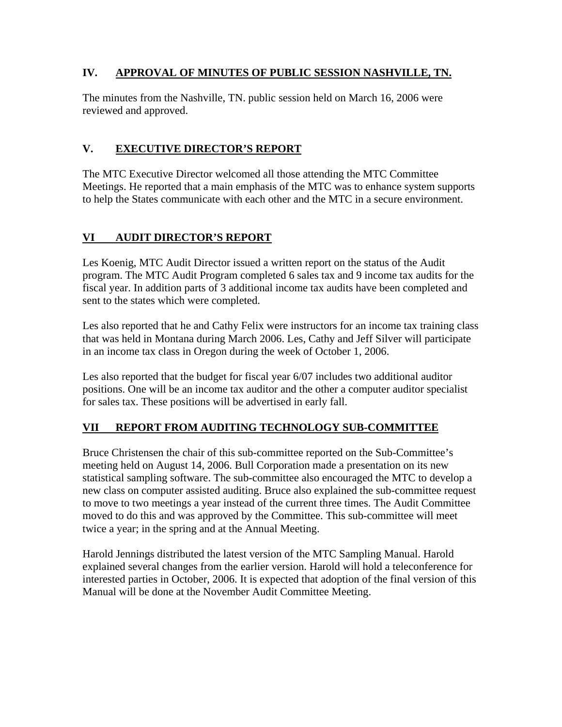## **IV. APPROVAL OF MINUTES OF PUBLIC SESSION NASHVILLE, TN.**

The minutes from the Nashville, TN. public session held on March 16, 2006 were reviewed and approved.

# **V. EXECUTIVE DIRECTOR'S REPORT**

The MTC Executive Director welcomed all those attending the MTC Committee Meetings. He reported that a main emphasis of the MTC was to enhance system supports to help the States communicate with each other and the MTC in a secure environment.

# **VI AUDIT DIRECTOR'S REPORT**

Les Koenig, MTC Audit Director issued a written report on the status of the Audit program. The MTC Audit Program completed 6 sales tax and 9 income tax audits for the fiscal year. In addition parts of 3 additional income tax audits have been completed and sent to the states which were completed.

Les also reported that he and Cathy Felix were instructors for an income tax training class that was held in Montana during March 2006. Les, Cathy and Jeff Silver will participate in an income tax class in Oregon during the week of October 1, 2006.

Les also reported that the budget for fiscal year 6/07 includes two additional auditor positions. One will be an income tax auditor and the other a computer auditor specialist for sales tax. These positions will be advertised in early fall.

# **VII REPORT FROM AUDITING TECHNOLOGY SUB-COMMITTEE**

Bruce Christensen the chair of this sub-committee reported on the Sub-Committee's meeting held on August 14, 2006. Bull Corporation made a presentation on its new statistical sampling software. The sub-committee also encouraged the MTC to develop a new class on computer assisted auditing. Bruce also explained the sub-committee request to move to two meetings a year instead of the current three times. The Audit Committee moved to do this and was approved by the Committee. This sub-committee will meet twice a year; in the spring and at the Annual Meeting.

Harold Jennings distributed the latest version of the MTC Sampling Manual. Harold explained several changes from the earlier version. Harold will hold a teleconference for interested parties in October, 2006. It is expected that adoption of the final version of this Manual will be done at the November Audit Committee Meeting.